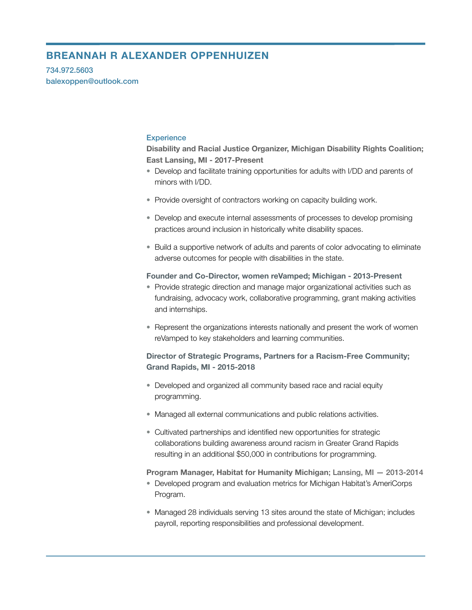# **BREANNAH R ALEXANDER OPPENHUIZEN**

734.972.5603 balexoppen@outlook.com

### **Experience**

**Disability and Racial Justice Organizer, Michigan Disability Rights Coalition; East Lansing, MI - 2017-Present** 

- Develop and facilitate training opportunities for adults with I/DD and parents of minors with I/DD.
- Provide oversight of contractors working on capacity building work.
- Develop and execute internal assessments of processes to develop promising practices around inclusion in historically white disability spaces.
- Build a supportive network of adults and parents of color advocating to eliminate adverse outcomes for people with disabilities in the state.

#### **Founder and Co-Director, women reVamped; Michigan - 2013-Present**

- Provide strategic direction and manage major organizational activities such as fundraising, advocacy work, collaborative programming, grant making activities and internships.
- Represent the organizations interests nationally and present the work of women reVamped to key stakeholders and learning communities.

## **Director of Strategic Programs, Partners for a Racism-Free Community; Grand Rapids, MI - 2015-2018**

- Developed and organized all community based race and racial equity programming.
- Managed all external communications and public relations activities.
- Cultivated partnerships and identified new opportunities for strategic collaborations building awareness around racism in Greater Grand Rapids resulting in an additional \$50,000 in contributions for programming.

#### **Program Manager, Habitat for Humanity Michigan**; Lansing, MI — 2013-2014

- Developed program and evaluation metrics for Michigan Habitat's AmeriCorps Program.
- Managed 28 individuals serving 13 sites around the state of Michigan; includes payroll, reporting responsibilities and professional development.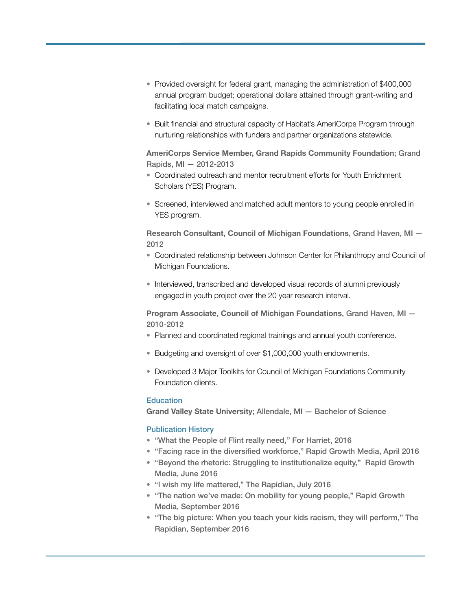- Provided oversight for federal grant, managing the administration of \$400,000 annual program budget; operational dollars attained through grant-writing and facilitating local match campaigns.
- Built financial and structural capacity of Habitat's AmeriCorps Program through nurturing relationships with funders and partner organizations statewide.

**AmeriCorps Service Member, Grand Rapids Community Foundation**; Grand Rapids, MI — 2012-2013

- Coordinated outreach and mentor recruitment efforts for Youth Enrichment Scholars (YES) Program.
- Screened, interviewed and matched adult mentors to young people enrolled in YES program.

**Research Consultant, Council of Michigan Foundations**, Grand Haven, MI — 2012

- Coordinated relationship between Johnson Center for Philanthropy and Council of Michigan Foundations.
- Interviewed, transcribed and developed visual records of alumni previously engaged in youth project over the 20 year research interval.

**Program Associate, Council of Michigan Foundations**, Grand Haven, MI — 2010-2012

- Planned and coordinated regional trainings and annual youth conference.
- Budgeting and oversight of over \$1,000,000 youth endowments.
- Developed 3 Major Toolkits for Council of Michigan Foundations Community Foundation clients.

#### **Education**

**Grand Valley State University**; Allendale, MI — Bachelor of Science

## Publication History

- "What the People of Flint really need," For Harriet, 2016
- "Facing race in the diversified workforce," Rapid Growth Media, April 2016
- "Beyond the rhetoric: Struggling to institutionalize equity," Rapid Growth Media, June 2016
- "I wish my life mattered," The Rapidian, July 2016
- "The nation we've made: On mobility for young people," Rapid Growth Media, September 2016
- "The big picture: When you teach your kids racism, they will perform," The Rapidian, September 2016